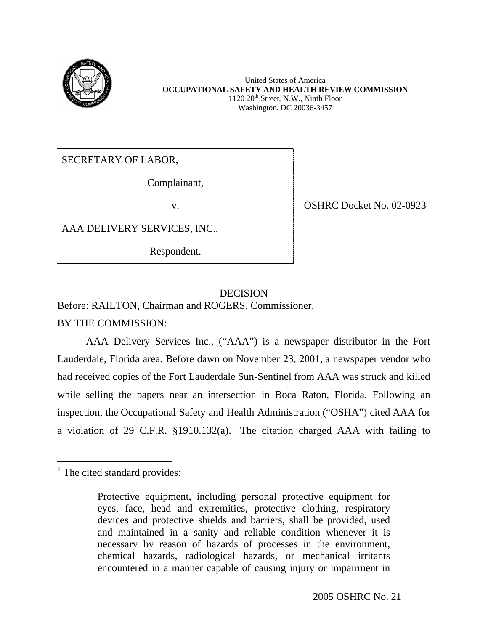

United States of America **OCCUPATIONAL SAFETY AND HEALTH REVIEW COMMISSION**  $1120 \ 20<sup>th</sup>$  Street, N.W., Ninth Floor Washington, DC 20036-3457

SECRETARY OF LABOR,

Complainant,

v. SHRC Docket No. 02-0923

AAA DELIVERY SERVICES, INC.,

Respondent.

# DECISION

Before: RAILTON, Chairman and ROGERS, Commissioner.

BY THE COMMISSION:

AAA Delivery Services Inc., ("AAA") is a newspaper distributor in the Fort Lauderdale, Florida area. Before dawn on November 23, 2001, a newspaper vendor who had received copies of the Fort Lauderdale Sun-Sentinel from AAA was struck and killed while selling the papers near an intersection in Boca Raton, Florida. Following an inspection, the Occupational Safety and Health Administration ("OSHA") cited AAA for a violation of 29 C.F.R.  $\S 1910.132(a)$  $\S 1910.132(a)$  $\S 1910.132(a)$ .<sup>1</sup> The citation charged AAA with failing to

<span id="page-0-0"></span><sup>&</sup>lt;sup>1</sup> The cited standard provides:

Protective equipment, including personal protective equipment for eyes, face, head and extremities, protective clothing, respiratory devices and protective shields and barriers, shall be provided, used and maintained in a sanity and reliable condition whenever it is necessary by reason of hazards of processes in the environment, chemical hazards, radiological hazards, or mechanical irritants encountered in a manner capable of causing injury or impairment in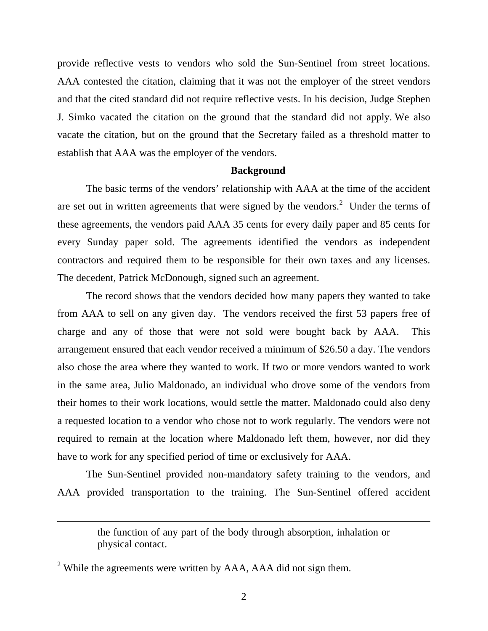provide reflective vests to vendors who sold the Sun-Sentinel from street locations. AAA contested the citation, claiming that it was not the employer of the street vendors and that the cited standard did not require reflective vests. In his decision, Judge Stephen J. Simko vacated the citation on the ground that the standard did not apply. We also vacate the citation, but on the ground that the Secretary failed as a threshold matter to establish that AAA was the employer of the vendors.

#### **Background**

The basic terms of the vendors' relationship with AAA at the time of the accident are set out in written agreements that were signed by the vendors.<sup>[2](#page-1-0)</sup> Under the terms of these agreements, the vendors paid AAA 35 cents for every daily paper and 85 cents for every Sunday paper sold. The agreements identified the vendors as independent contractors and required them to be responsible for their own taxes and any licenses. The decedent, Patrick McDonough, signed such an agreement.

The record shows that the vendors decided how many papers they wanted to take from AAA to sell on any given day. The vendors received the first 53 papers free of charge and any of those that were not sold were bought back by AAA. This arrangement ensured that each vendor received a minimum of \$26.50 a day. The vendors also chose the area where they wanted to work. If two or more vendors wanted to work in the same area, Julio Maldonado, an individual who drove some of the vendors from their homes to their work locations, would settle the matter. Maldonado could also deny a requested location to a vendor who chose not to work regularly. The vendors were not required to remain at the location where Maldonado left them, however, nor did they have to work for any specified period of time or exclusively for AAA.

The Sun-Sentinel provided non-mandatory safety training to the vendors, and AAA provided transportation to the training. The Sun-Sentinel offered accident

 $\overline{a}$ 

the function of any part of the body through absorption, inhalation or physical contact.

<span id="page-1-0"></span><sup>&</sup>lt;sup>2</sup> While the agreements were written by AAA, AAA did not sign them.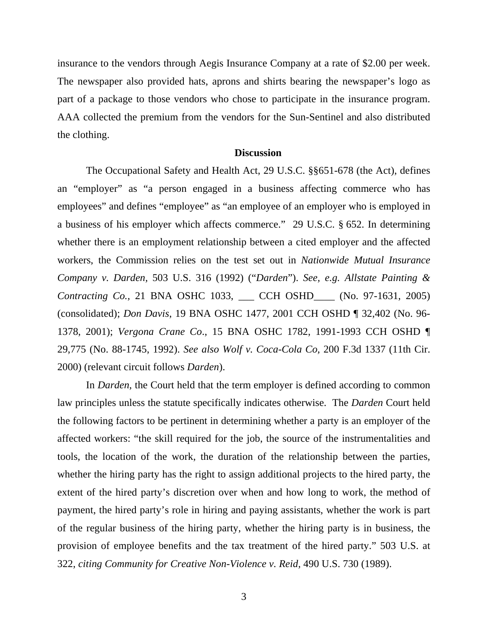insurance to the vendors through Aegis Insurance Company at a rate of \$2.00 per week. The newspaper also provided hats, aprons and shirts bearing the newspaper's logo as part of a package to those vendors who chose to participate in the insurance program. AAA collected the premium from the vendors for the Sun-Sentinel and also distributed the clothing.

### **Discussion**

The Occupational Safety and Health Act, 29 U.S.C. §§651-678 (the Act), defines an "employer" as "a person engaged in a business affecting commerce who has employees" and defines "employee" as "an employee of an employer who is employed in a business of his employer which affects commerce." 29 U.S.C. § 652. In determining whether there is an employment relationship between a cited employer and the affected workers, the Commission relies on the test set out in *Nationwide Mutual Insurance Company v. Darden,* 503 U.S. 316 (1992) ("*Darden*"). *See, e.g. Allstate Painting & Contracting Co.,* 21 BNA OSHC 1033, \_\_\_ CCH OSHD\_\_\_\_ (No. 97-1631, 2005) (consolidated); *Don Davis*, 19 BNA OSHC 1477, 2001 CCH OSHD ¶ 32,402 (No. 96- 1378, 2001); *Vergona Crane Co*., 15 BNA OSHC 1782, 1991-1993 CCH OSHD ¶ 29,775 (No. 88-1745, 1992). *See also Wolf v. Coca-Cola Co,* 200 F.3d 1337 (11th Cir. 2000) (relevant circuit follows *Darden*).

In *Darden*, the Court held that the term employer is defined according to common law principles unless the statute specifically indicates otherwise. The *Darden* Court held the following factors to be pertinent in determining whether a party is an employer of the affected workers: "the skill required for the job, the source of the instrumentalities and tools, the location of the work, the duration of the relationship between the parties, whether the hiring party has the right to assign additional projects to the hired party, the extent of the hired party's discretion over when and how long to work, the method of payment, the hired party's role in hiring and paying assistants, whether the work is part of the regular business of the hiring party, whether the hiring party is in business, the provision of employee benefits and the tax treatment of the hired party." 503 U.S. at 322, *citing Community for Creative Non-Violence v. Reid,* 490 U.S. 730 (1989).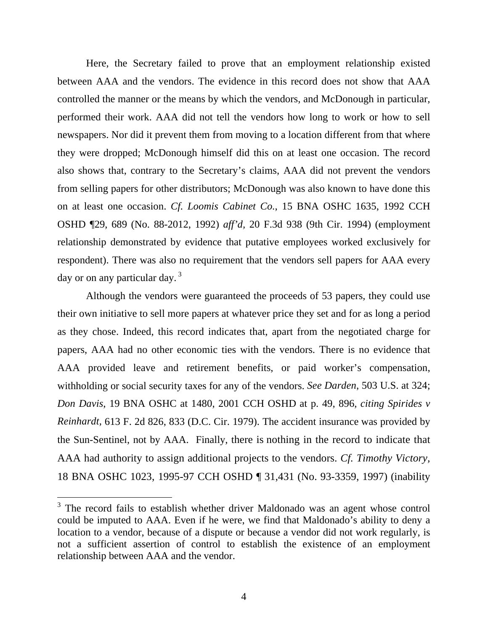Here, the Secretary failed to prove that an employment relationship existed between AAA and the vendors. The evidence in this record does not show that AAA controlled the manner or the means by which the vendors, and McDonough in particular, performed their work. AAA did not tell the vendors how long to work or how to sell newspapers. Nor did it prevent them from moving to a location different from that where they were dropped; McDonough himself did this on at least one occasion. The record also shows that, contrary to the Secretary's claims, AAA did not prevent the vendors from selling papers for other distributors; McDonough was also known to have done this on at least one occasion. *Cf. Loomis Cabinet Co.*, 15 BNA OSHC 1635, 1992 CCH OSHD ¶29, 689 (No. 88-2012, 1992) *aff'd,* 20 F.3d 938 (9th Cir. 1994) (employment relationship demonstrated by evidence that putative employees worked exclusively for respondent). There was also no requirement that the vendors sell papers for AAA every day or on any particular day.<sup>3</sup>

Although the vendors were guaranteed the proceeds of 53 papers, they could use their own initiative to sell more papers at whatever price they set and for as long a period as they chose. Indeed, this record indicates that, apart from the negotiated charge for papers, AAA had no other economic ties with the vendors. There is no evidence that AAA provided leave and retirement benefits, or paid worker's compensation, withholding or social security taxes for any of the vendors. *See Darden*, 503 U.S. at 324; *Don Davis*, 19 BNA OSHC at 1480, 2001 CCH OSHD at p. 49, 896, *citing Spirides v Reinhardt,* 613 F. 2d 826, 833 (D.C. Cir. 1979). The accident insurance was provided by the Sun-Sentinel, not by AAA. Finally, there is nothing in the record to indicate that AAA had authority to assign additional projects to the vendors. *Cf. Timothy Victory,*  18 BNA OSHC 1023, 1995-97 CCH OSHD ¶ 31,431 (No. 93-3359, 1997) (inability

 $\overline{a}$ 

<span id="page-3-0"></span><sup>&</sup>lt;sup>3</sup> The record fails to establish whether driver Maldonado was an agent whose control could be imputed to AAA. Even if he were, we find that Maldonado's ability to deny a location to a vendor, because of a dispute or because a vendor did not work regularly, is not a sufficient assertion of control to establish the existence of an employment relationship between AAA and the vendor.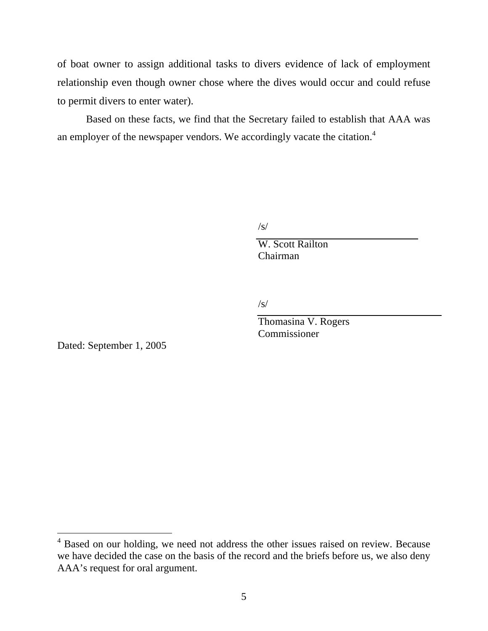of boat owner to assign additional tasks to divers evidence of lack of employment relationship even though owner chose where the dives would occur and could refuse to permit divers to enter water).

Based on these facts, we find that the Secretary failed to establish that AAA was an employer of the newspaper vendors. We accordingly vacate the citation.<sup>[4](#page-4-0)</sup>

 $\sqrt{s/2}$ 

W. Scott Railton Chairman

 $\sqrt{s}$ /

 Thomasina V. Rogers Commissioner

Dated: September 1, 2005

<span id="page-4-0"></span><sup>&</sup>lt;sup>4</sup> Based on our holding, we need not address the other issues raised on review. Because we have decided the case on the basis of the record and the briefs before us, we also deny AAA's request for oral argument.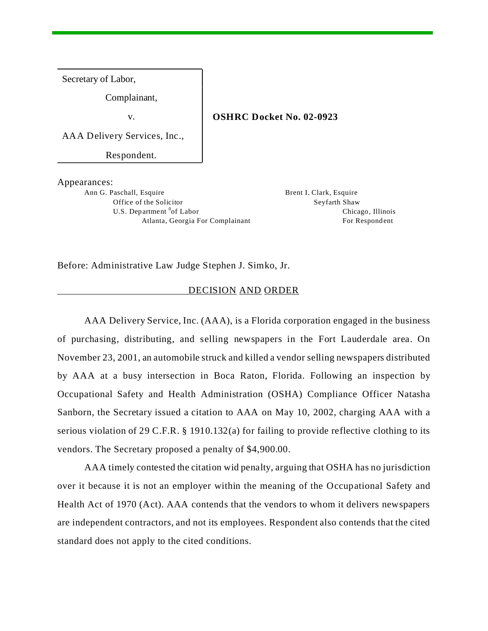Secretary of Labor,

Complainant,

v. **OSHRC Docket No. 02-0923**

AAA Delivery Services, Inc.,

Respondent.

Appearances:

Ann G. Paschall, Esquire **Brent I. Clark, Esquire** Brent I. Clark, Esquire Office of the Solicitor Seyfarth Shaw U.S. Department <sup>0</sup>of Labor

Chicago, Illinois Atlanta, Georgia For Complainant For Respondent

Before: Administrative Law Judge Stephen J. Simko, Jr.

#### DECISION AND ORDER

AAA Delivery Service, Inc. (AAA), is a Florida corporation engaged in the business of purchasing, distributing, and selling newspapers in the Fort Lauderdale area. On November 23, 2001, an automobile struck and killed a vendor selling newspapers distributed by AAA at a busy intersection in Boca Raton, Florida. Following an inspection by Occupational Safety and Health Administration (OSHA) Compliance Officer Natasha Sanborn, the Secretary issued a citation to AAA on May 10, 2002, charging AAA with a serious violation of 29 C.F.R. § 1910.132(a) for failing to provide reflective clothing to its vendors. The Secretary proposed a penalty of \$4,900.00.

AAA timely contested the citation wid penalty, arguing that OSHA has no jurisdiction over it because it is not an employer within the meaning of the Occupational Safety and Health Act of 1970 (Act). AAA contends that the vendors to whom it delivers newspapers are independent contractors, and not its employees. Respondent also contends that the cited standard does not apply to the cited conditions.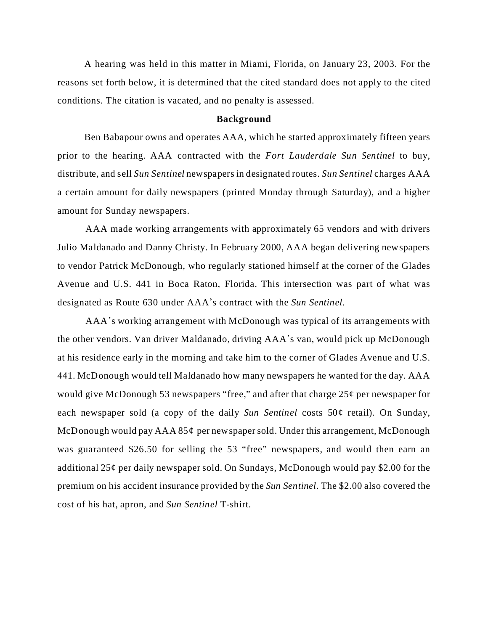A hearing was held in this matter in Miami, Florida, on January 23, 2003. For the reasons set forth below, it is determined that the cited standard does not apply to the cited conditions. The citation is vacated, and no penalty is assessed.

#### **Background**

Ben Babapour owns and operates AAA, which he started approximately fifteen years prior to the hearing. AAA contracted with the *Fort Lauderdale Sun Sentinel* to buy, distribute, and sell *Sun Sentinel* newspapers in designated routes. *Sun Sentinel* charges AAA a certain amount for daily newspapers (printed Monday through Saturday), and a higher amount for Sunday newspapers.

AAA made working arrangements with approximately 65 vendors and with drivers Julio Maldanado and Danny Christy. In February 2000, AAA began delivering newspapers to vendor Patrick McDonough, who regularly stationed himself at the corner of the Glades Avenue and U.S. 441 in Boca Raton, Florida. This intersection was part of what was designated as Route 630 under AAA\*s contract with the *Sun Sentinel.*

AAA\*s working arrangement with McDonough was typical of its arrangements with the other vendors. Van driver Maldanado, driving AAA\*s van, would pick up McDonough at his residence early in the morning and take him to the corner of Glades Avenue and U.S. 441. McDonough would tell Maldanado how many newspapers he wanted for the day. AAA would give McDonough 53 newspapers "free," and after that charge 25¢ per newspaper for each newspaper sold (a copy of the daily *Sun Sentinel* costs 50¢ retail). On Sunday, McDonough would pay  $AAA 85¢$  per newspaper sold. Under this arrangement, McDonough was guaranteed \$26.50 for selling the 53 "free" newspapers, and would then earn an additional  $25¢$  per daily newspaper sold. On Sundays, McDonough would pay \$2.00 for the premium on his accident insurance provided by the *Sun Sentinel.* The \$2.00 also covered the cost of his hat, apron, and *Sun Sentinel* T-shirt.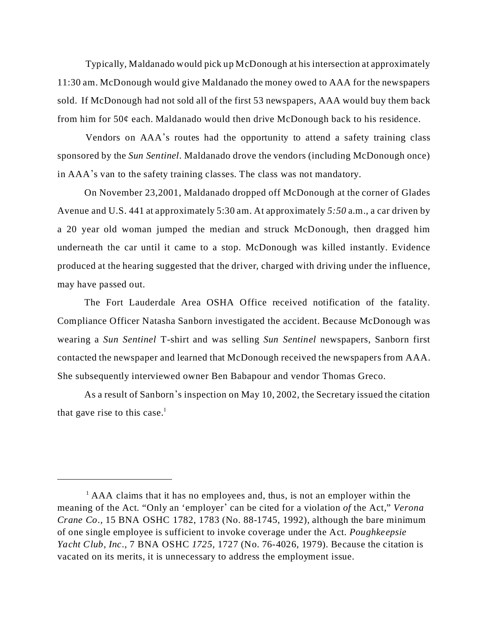Typically, Maldanado would pick up McDonough at his intersection at approximately 11:30 am. McDonough would give Maldanado the money owed to AAA for the newspapers sold. If McDonough had not sold all of the first 53 newspapers, AAA would buy them back from him for  $50¢$  each. Maldanado would then drive McDonough back to his residence.

Vendors on AAA\*s routes had the opportunity to attend a safety training class sponsored by the *Sun Sentinel.* Maldanado drove the vendors (including McDonough once) in AAA\*s van to the safety training classes. The class was not mandatory.

On November 23,2001, Maldanado dropped off McDonough at the corner of Glades Avenue and U.S. 441 at approximately 5:30 am. At approximately *5:50* a.m., a car driven by a 20 year old woman jumped the median and struck McDonough, then dragged him underneath the car until it came to a stop. McDonough was killed instantly. Evidence produced at the hearing suggested that the driver, charged with driving under the influence, may have passed out.

The Fort Lauderdale Area OSHA Office received notification of the fatality. Compliance Officer Natasha Sanborn investigated the accident. Because McDonough was wearing a *Sun Sentinel* T-shirt and was selling *Sun Sentinel* newspapers, Sanborn first contacted the newspaper and learned that McDonough received the newspapers from AAA. She subsequently interviewed owner Ben Babapour and vendor Thomas Greco.

As a result of Sanborn's inspection on May 10, 2002, the Secretary issued the citation that gave rise to this case.<sup>1</sup>

 $<sup>1</sup>$  AAA claims that it has no employees and, thus, is not an employer within the</sup> meaning of the Act. "Only an 'employer' can be cited for a violation *of* the Act," *Verona Crane Co.,* 15 BNA OSHC 1782, 1783 (No. 88-1745, 1992), although the bare minimum of one single employee is sufficient to invoke coverage under the Act. *Poughkeepsie Yacht Club, Inc.,* 7 BNA OSHC *1725,* 1727 (No. 76-4026, 1979). Because the citation is vacated on its merits, it is unnecessary to address the employment issue.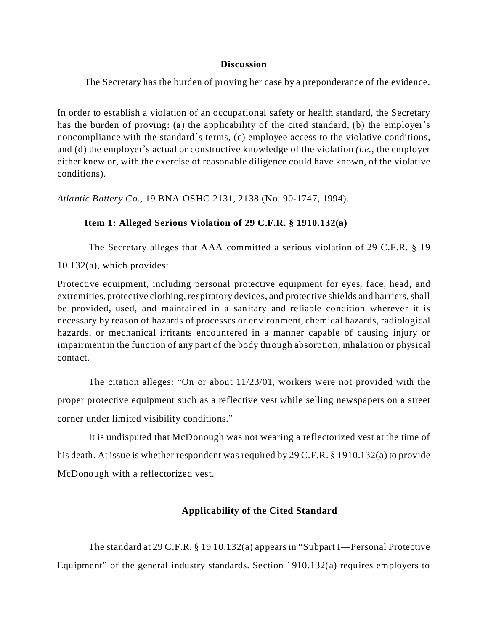### **Discussion**

The Secretary has the burden of proving her case by a preponderance of the evidence.

In order to establish a violation of an occupational safety or health standard, the Secretary has the burden of proving: (a) the applicability of the cited standard, (b) the employer's noncompliance with the standard's terms, (c) employee access to the violative conditions, and (d) the employer's actual or constructive knowledge of the violation *(i.e.,* the employer either knew or, with the exercise of reasonable diligence could have known, of the violative conditions).

*Atlantic Battery Co.,* 19 BNA OSHC 2131, 2138 (No. 90-1747, 1994).

## **Item 1: Alleged Serious Violation of 29 C.F.R. § 1910.132(a)**

The Secretary alleges that AAA committed a serious violation of 29 C.F.R. § 19 10.132(a), which provides:

Protective equipment, including personal protective equipment for eyes, face, head, and extremities, protective clothing, respiratory devices, and protective shields and barriers, shall be provided, used, and maintained in a sanitary and reliable condition wherever it is necessary by reason of hazards of processes or environment, chemical hazards, radiological hazards, or mechanical irritants encountered in a manner capable of causing injury or impairment in the function of any part of the body through absorption, inhalation or physical contact.

The citation alleges: "On or about 11/23/01, workers were not provided with the proper protective equipment such as a reflective vest while selling newspapers on a street corner under limited visibility conditions."

It is undisputed that McDonough was not wearing a reflectorized vest at the time of his death. At issue is whether respondent was required by 29 C.F.R. § 1910.132(a) to provide McDonough with a reflectorized vest.

# **Applicability of the Cited Standard**

The standard at 29 C.F.R. § 19 10.132(a) appears in "Subpart I—Personal Protective Equipment" of the general industry standards. Section 1910.132(a) requires employers to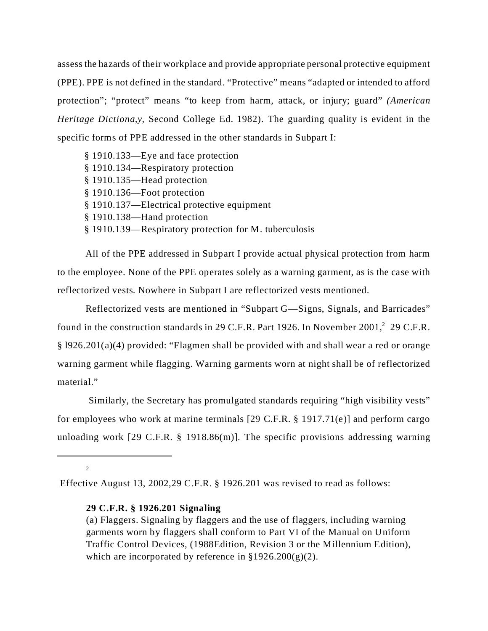assess the hazards of their workplace and provide appropriate personal protective equipment (PPE). PPE is not defined in the standard. "Protective" means "adapted or intended to afford protection"; "protect" means "to keep from harm, attack, or injury; guard" *(American Heritage Dictiona,y,* Second College Ed. 1982). The guarding quality is evident in the specific forms of PPE addressed in the other standards in Subpart I:

| § 1910.133—Eye and face protection                    |
|-------------------------------------------------------|
| § 1910.134—Respiratory protection                     |
| § 1910.135—Head protection                            |
| § 1910.136—Foot protection                            |
| § 1910.137—Electrical protective equipment            |
| § 1910.138—Hand protection                            |
| § 1910.139—Respiratory protection for M. tuberculosis |
|                                                       |

All of the PPE addressed in Subpart I provide actual physical protection from harm to the employee. None of the PPE operates solely as a warning garment, as is the case with reflectorized vests. Nowhere in Subpart I are reflectorized vests mentioned.

Reflectorized vests are mentioned in "Subpart G—Signs, Signals, and Barricades" found in the construction standards in 29 C.F.R. Part 1926. In November 2001,<sup>2</sup> 29 C.F.R. § l926.201(a)(4) provided: "Flagmen shall be provided with and shall wear a red or orange warning garment while flagging. Warning garments worn at night shall be of reflectorized material."

Similarly, the Secretary has promulgated standards requiring "high visibility vests" for employees who work at marine terminals [29 C.F.R. § 1917.71(e)] and perform cargo unloading work [29 C.F.R. § 1918.86(m)]. The specific provisions addressing warning

2

Effective August 13, 2002,29 C.F.R. § 1926.201 was revised to read as follows:

### **29 C.F.R. § 1926.201 Signaling**

<sup>(</sup>a) Flaggers. Signaling by flaggers and the use of flaggers, including warning garments worn by flaggers shall conform to Part VI of the Manual on Uniform Traffic Control Devices, (1988Edition, Revision 3 or the Millennium Edition), which are incorporated by reference in  $\S 1926.200(g)(2)$ .